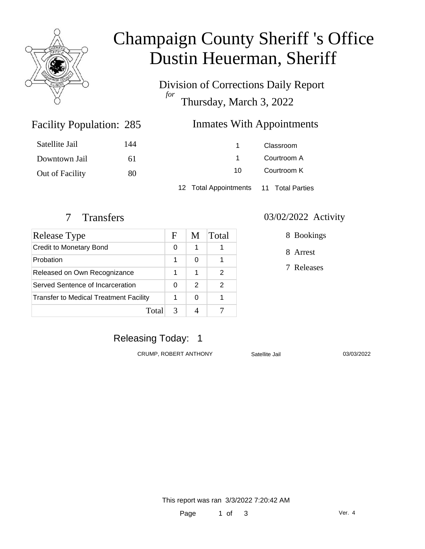

# Champaign County Sheriff 's Office Dustin Heuerman, Sheriff

Division of Corrections Daily Report *for* Thursday, March 3, 2022

### **Inmates With Appointments**

| Satellite Jail  | 144 |                                        | Classroom   |  |
|-----------------|-----|----------------------------------------|-------------|--|
| Downtown Jail   | 61  |                                        | Courtroom A |  |
| Out of Facility | 80  | 10.                                    | Courtroom K |  |
|                 |     | 12 Total Appointments 11 Total Parties |             |  |

Facility Population: 285

| Release Type                           | F | M | Total |
|----------------------------------------|---|---|-------|
| Credit to Monetary Bond                | 0 | 1 |       |
| Probation                              | 1 | 0 |       |
| Released on Own Recognizance           |   | 1 | 2     |
| Served Sentence of Incarceration       |   | 2 | 2     |
| Transfer to Medical Treatment Facility |   | 0 |       |
| Total                                  | 3 |   |       |

#### 7 Transfers 03/02/2022 Activity

8 Bookings

8 Arrest

7 Releases

### Releasing Today: 1

CRUMP, ROBERT ANTHONY Satellite Jail 03/03/2022

This report was ran 3/3/2022 7:20:42 AM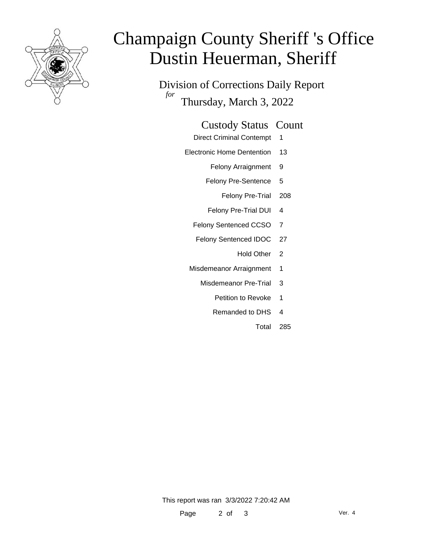

# Champaign County Sheriff 's Office Dustin Heuerman, Sheriff

Division of Corrections Daily Report *for* Thursday, March 3, 2022

#### Custody Status Count

- Direct Criminal Contempt 1
- Electronic Home Dentention 13
	- Felony Arraignment 9
	- Felony Pre-Sentence 5
		- Felony Pre-Trial 208
	- Felony Pre-Trial DUI 4
	- Felony Sentenced CCSO 7
	- Felony Sentenced IDOC 27
		- Hold Other 2
	- Misdemeanor Arraignment 1
		- Misdemeanor Pre-Trial 3
			- Petition to Revoke 1
			- Remanded to DHS 4
				- Total 285

This report was ran 3/3/2022 7:20:42 AM